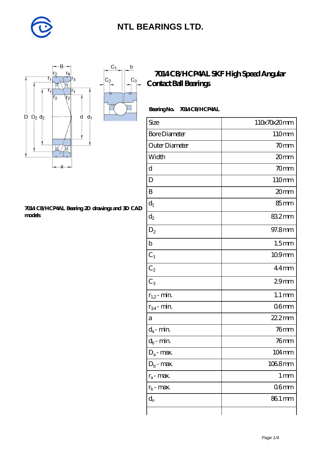

 $\mathsf b$ 

ó

 $C_3$ 



#### **[7014 CB/HCP4AL Bearing 2D drawings and 3D CAD](https://m.diabetesfriends.net/pic-590822.html) [models](https://m.diabetesfriends.net/pic-590822.html)**

### **[7014 CB/HCP4AL SKF High Speed Angular](https://m.diabetesfriends.net/skf-bearing/7014-cb-hcp4al.html) [Contact Ball Bearings](https://m.diabetesfriends.net/skf-bearing/7014-cb-hcp4al.html)**

### **Bearing No. 7014 CB/HCP4AL**

| Size                 | 110x70x20mm         |
|----------------------|---------------------|
| <b>Bore Diameter</b> | 110mm               |
| Outer Diameter       | 70mm                |
| Width                | 20mm                |
| d                    | 70 <sub>mm</sub>    |
| D                    | 110mm               |
| B                    | 20mm                |
| $\mathbf{d}_1$       | 85mm                |
| $d_2$                | 832mm               |
| $\mathrm{D}_2$       | 97.8mm              |
| $\mathbf b$          | 1.5 <sub>mm</sub>   |
| $C_1$                | 109mm               |
| $C_2$                | $44$ mm             |
| $C_3$                | 29 <sub>mm</sub>    |
| $r_{1,2}$ - min.     | $1.1 \,\mathrm{mm}$ |
| $r_{34}$ - min.      | 06 <sub>mm</sub>    |
| a                    | 22.2mm              |
| $d_a$ - min.         | $76$ mm             |
| $d_b$ - min.         | 76mm                |
| $D_a$ - max.         | 104mm               |
| $D_b$ - max.         | 1068mm              |
| $r_a$ - max.         | 1 <sub>mm</sub>     |
| $r_{b}$ - max.       | 06 <sub>mm</sub>    |
| $d_{n}$              | 86.1 mm             |
|                      |                     |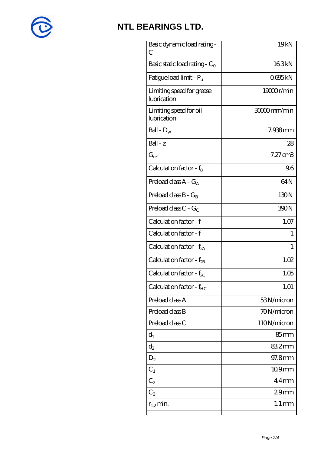

| Basic dynamic load rating-<br>C          | 19kN                |
|------------------------------------------|---------------------|
| Basic static load rating - $C_0$         | 163kN               |
| Fatigue load limit - P <sub>u</sub>      | 0695kN              |
| Limiting speed for grease<br>lubrication | 19000r/min          |
| Limiting speed for oil<br>lubrication    | 30000mm/min         |
| Ball - $D_w$                             | 7.938mm             |
| $Ball - z$                               | 28                  |
| $G_{ref}$                                | $7.27 \text{ cm}$ 3 |
| Calculation factor - $f_0$               | 96                  |
| Preload class $A - G_A$                  | 64N                 |
| Preload class $B - G_B$                  | 130N                |
| Preload class $C - G_C$                  | 390N                |
| Calculation factor - f                   | 1.07                |
| Calculation factor - f                   | 1                   |
| Calculation factor - $f_{2A}$            | 1                   |
| Calculation factor - f <sub>2B</sub>     | 1.02                |
| Calculation factor - $f_{\text{X}}$      | 1.05                |
| Calculation factor - $f_{HC}$            | 1.01                |
| Preload class A                          | 53N/micron          |
| Preload class B                          | 70N/micron          |
| Preload class C                          | 110N/micron         |
| $d_1$                                    | $85 \text{mm}$      |
| $\mathrm{d}_2$                           | 832mm               |
| $D_2$                                    | 97.8mm              |
| $C_1$                                    | $109$ mm            |
| $\textsf{C}_2$                           | $44$ mm             |
| $C_3$                                    | 29 <sub>mm</sub>    |
| $r_{1,2}$ min.                           | $1.1 \,\mathrm{mm}$ |
|                                          |                     |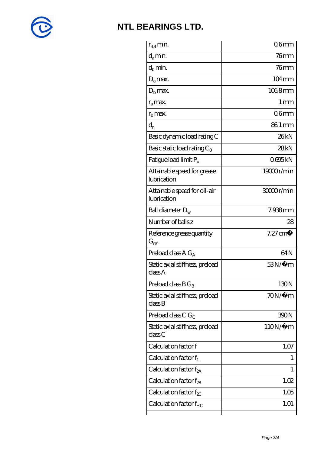

| $r_{34}$ min.                               | 06 <sub>mm</sub>    |
|---------------------------------------------|---------------------|
| $d_a$ min.                                  | $76$ mm             |
| $d_b$ min.                                  | 76mm                |
| $D_a$ max.                                  | $104 \,\mathrm{mm}$ |
| $Db$ max.                                   | 1068mm              |
| $r_a$ max.                                  | $1 \,\mathrm{mm}$   |
| $r_{\rm b}$ max.                            | 06 <sub>mm</sub>    |
| $d_{n}$                                     | 86.1 mm             |
| Basic dynamic load rating C                 | 26kN                |
| Basic static load rating $C_0$              | 28kN                |
| Fatigue load limit Pu                       | 0695kN              |
| Attainable speed for grease<br>lubrication  | 19000r/min          |
| Attainable speed for oil-air<br>lubrication | 3000r/min           |
| Ball diameter $D_w$                         | 7.938mm             |
| Number of balls z                           | 28                  |
| Reference grease quantity<br>$G_{ref}$      | $7.27 \text{ cm}^3$ |
| Preload class $A G_A$                       | 64N                 |
| Static axial stiffness, preload<br>classA   | $53N/\mu$ m         |
| Preload class $BG_B$                        | 130N                |
| Static axial stiffness, preload<br>classB   | $70N/\mu$ m         |
| Preload class C $G_C$                       | 390N                |
| Static axial stiffness, preload<br>classC   | $110N/\mu$ m        |
| Calculation factor f                        | 1.07                |
|                                             |                     |
| Calculation factor $f_1$                    | $\mathbf{I}$        |
| Calculation factor $f_{2A}$                 | 1                   |
| Calculation factor $f_{\rm 2B}$             | 1.02                |
| Calculation factor $f_{\chi}$               | 1.05                |
| Calculation factor $f_{HC}$                 | 1.01                |